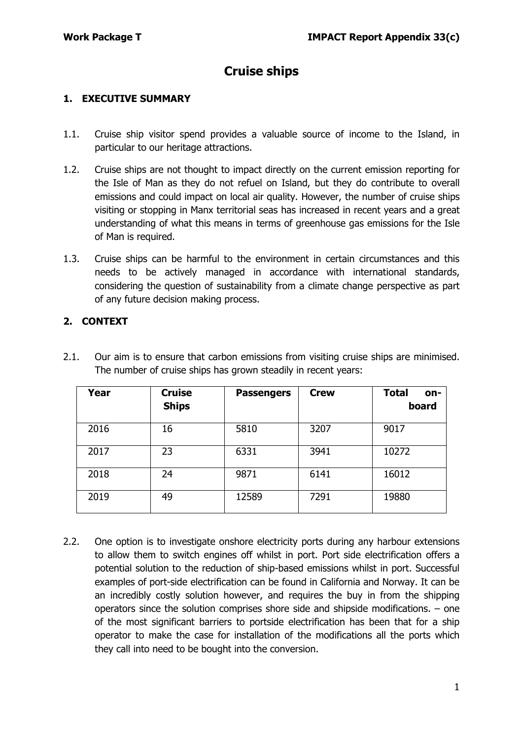# **Cruise ships**

### **1. EXECUTIVE SUMMARY**

- 1.1. Cruise ship visitor spend provides a valuable source of income to the Island, in particular to our heritage attractions.
- 1.2. Cruise ships are not thought to impact directly on the current emission reporting for the Isle of Man as they do not refuel on Island, but they do contribute to overall emissions and could impact on local air quality. However, the number of cruise ships visiting or stopping in Manx territorial seas has increased in recent years and a great understanding of what this means in terms of greenhouse gas emissions for the Isle of Man is required.
- 1.3. Cruise ships can be harmful to the environment in certain circumstances and this needs to be actively managed in accordance with international standards, considering the question of sustainability from a climate change perspective as part of any future decision making process.

## **2. CONTEXT**

2.1. Our aim is to ensure that carbon emissions from visiting cruise ships are minimised. The number of cruise ships has grown steadily in recent years:

| Year | <b>Cruise</b><br><b>Ships</b> | <b>Passengers</b> | <b>Crew</b> | <b>Total</b><br>on-<br>board |
|------|-------------------------------|-------------------|-------------|------------------------------|
| 2016 | 16                            | 5810              | 3207        | 9017                         |
| 2017 | 23                            | 6331              | 3941        | 10272                        |
| 2018 | 24                            | 9871              | 6141        | 16012                        |
| 2019 | 49                            | 12589             | 7291        | 19880                        |

2.2. One option is to investigate onshore electricity ports during any harbour extensions to allow them to switch engines off whilst in port. Port side electrification offers a potential solution to the reduction of ship-based emissions whilst in port. Successful examples of port-side electrification can be found in California and Norway. It can be an incredibly costly solution however, and requires the buy in from the shipping operators since the solution comprises shore side and shipside modifications. – one of the most significant barriers to portside electrification has been that for a ship operator to make the case for installation of the modifications all the ports which they call into need to be bought into the conversion.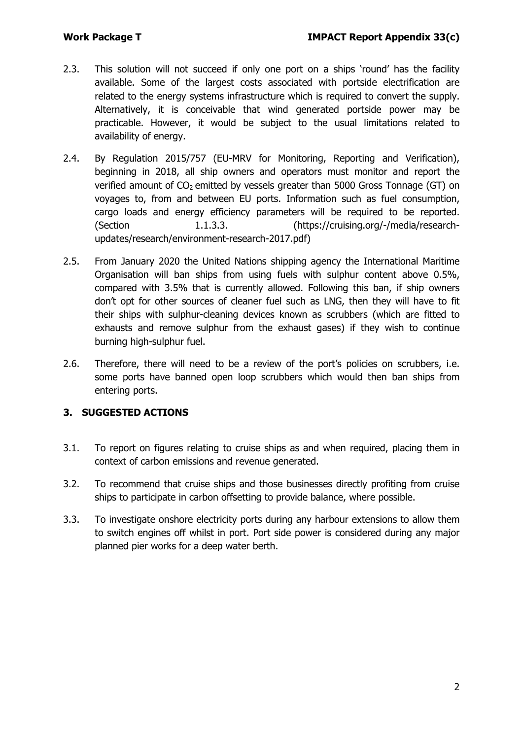- 2.3. This solution will not succeed if only one port on a ships 'round' has the facility available. Some of the largest costs associated with portside electrification are related to the energy systems infrastructure which is required to convert the supply. Alternatively, it is conceivable that wind generated portside power may be practicable. However, it would be subject to the usual limitations related to availability of energy.
- 2.4. By Regulation 2015/757 (EU-MRV for Monitoring, Reporting and Verification), beginning in 2018, all ship owners and operators must monitor and report the verified amount of  $CO<sub>2</sub>$  emitted by vessels greater than 5000 Gross Tonnage (GT) on voyages to, from and between EU ports. Information such as fuel consumption, cargo loads and energy efficiency parameters will be required to be reported. (Section 1.1.3.3. [\(https://cruising.org/-/media/research](https://cruising.org/-/media/research-updates/research/environment-research-2017.pdf)[updates/research/environment-research-2017.pdf\)](https://cruising.org/-/media/research-updates/research/environment-research-2017.pdf)
- 2.5. From January 2020 the United Nations shipping agency the International Maritime Organisation will ban ships from using fuels with sulphur content above 0.5%, compared with 3.5% that is currently allowed. Following this ban, if ship owners don't opt for other sources of cleaner fuel such as LNG, then they will have to fit their ships with sulphur-cleaning devices known as scrubbers (which are fitted to exhausts and remove sulphur from the exhaust gases) if they wish to continue burning high-sulphur fuel.
- 2.6. Therefore, there will need to be a review of the port's policies on scrubbers, i.e. some ports have banned open loop scrubbers which would then ban ships from entering ports.

## **3. SUGGESTED ACTIONS**

- 3.1. To report on figures relating to cruise ships as and when required, placing them in context of carbon emissions and revenue generated.
- 3.2. To recommend that cruise ships and those businesses directly profiting from cruise ships to participate in carbon offsetting to provide balance, where possible.
- 3.3. To investigate onshore electricity ports during any harbour extensions to allow them to switch engines off whilst in port. Port side power is considered during any major planned pier works for a deep water berth.